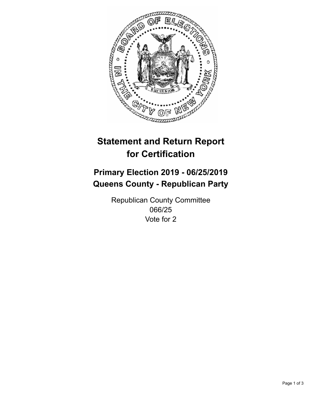

## **Statement and Return Report for Certification**

## **Primary Election 2019 - 06/25/2019 Queens County - Republican Party**

Republican County Committee 066/25 Vote for 2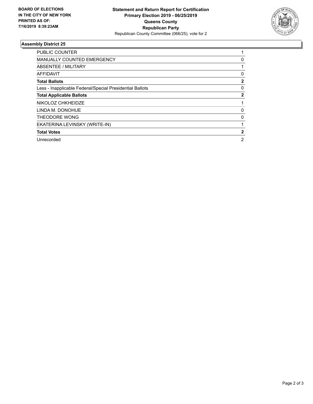

## **Assembly District 25**

| PUBLIC COUNTER                                           |              |
|----------------------------------------------------------|--------------|
| <b>MANUALLY COUNTED EMERGENCY</b>                        | 0            |
| ABSENTEE / MILITARY                                      |              |
| AFFIDAVIT                                                | 0            |
| <b>Total Ballots</b>                                     | $\mathbf{2}$ |
| Less - Inapplicable Federal/Special Presidential Ballots | 0            |
| <b>Total Applicable Ballots</b>                          | $\mathbf{2}$ |
| NIKOLOZ CHKHEIDZE                                        |              |
| LINDA M. DONOHUE                                         | 0            |
| THEODORE WONG                                            | 0            |
| EKATERINA LEVINSKY (WRITE-IN)                            |              |
| <b>Total Votes</b>                                       | 2            |
| Unrecorded                                               | 2            |